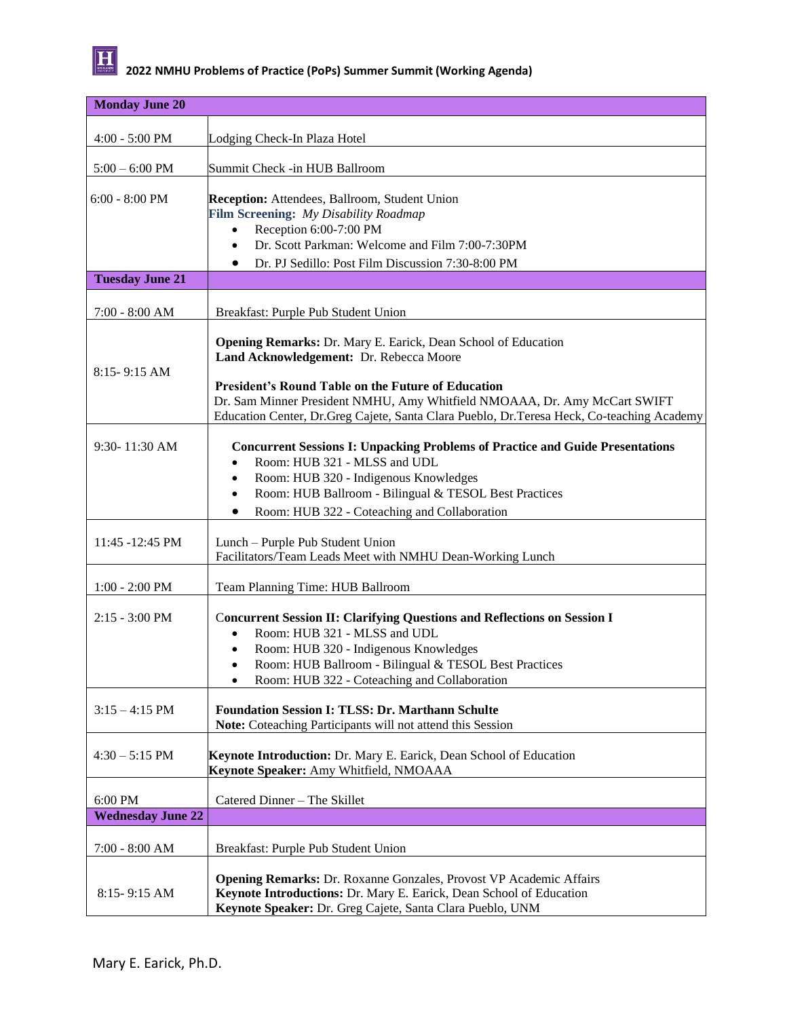

| <b>Monday June 20</b>      |                                                                                                                                                                                                               |  |
|----------------------------|---------------------------------------------------------------------------------------------------------------------------------------------------------------------------------------------------------------|--|
|                            |                                                                                                                                                                                                               |  |
| $4:00 - 5:00$ PM           | Lodging Check-In Plaza Hotel                                                                                                                                                                                  |  |
| $5:00 - 6:00$ PM           | Summit Check -in HUB Ballroom                                                                                                                                                                                 |  |
|                            |                                                                                                                                                                                                               |  |
| $6:00 - 8:00$ PM           | <b>Reception:</b> Attendees, Ballroom, Student Union                                                                                                                                                          |  |
|                            | Film Screening: My Disability Roadmap                                                                                                                                                                         |  |
|                            | Reception 6:00-7:00 PM                                                                                                                                                                                        |  |
|                            | Dr. Scott Parkman: Welcome and Film 7:00-7:30PM<br>$\bullet$                                                                                                                                                  |  |
| <b>Tuesday June 21</b>     | Dr. PJ Sedillo: Post Film Discussion 7:30-8:00 PM<br>$\bullet$                                                                                                                                                |  |
|                            |                                                                                                                                                                                                               |  |
| $7:00 - 8:00 AM$           | Breakfast: Purple Pub Student Union                                                                                                                                                                           |  |
| $8:15 - 9:15$ AM           | <b>Opening Remarks: Dr. Mary E. Earick, Dean School of Education</b><br>Land Acknowledgement: Dr. Rebecca Moore                                                                                               |  |
|                            | <b>President's Round Table on the Future of Education</b>                                                                                                                                                     |  |
|                            | Dr. Sam Minner President NMHU, Amy Whitfield NMOAAA, Dr. Amy McCart SWIFT                                                                                                                                     |  |
|                            | Education Center, Dr.Greg Cajete, Santa Clara Pueblo, Dr.Teresa Heck, Co-teaching Academy                                                                                                                     |  |
| $9:30 - 11:30$ AM          | <b>Concurrent Sessions I: Unpacking Problems of Practice and Guide Presentations</b><br>Room: HUB 321 - MLSS and UDL<br>$\bullet$                                                                             |  |
|                            | Room: HUB 320 - Indigenous Knowledges<br>$\bullet$                                                                                                                                                            |  |
|                            | Room: HUB Ballroom - Bilingual & TESOL Best Practices<br>$\bullet$                                                                                                                                            |  |
|                            | Room: HUB 322 - Coteaching and Collaboration<br>$\bullet$                                                                                                                                                     |  |
| $11:45 - 12:45 \text{ PM}$ | Lunch - Purple Pub Student Union<br>Facilitators/Team Leads Meet with NMHU Dean-Working Lunch                                                                                                                 |  |
| $1:00 - 2:00$ PM           | Team Planning Time: HUB Ballroom                                                                                                                                                                              |  |
| $2:15 - 3:00 \text{ PM}$   | <b>Concurrent Session II: Clarifying Questions and Reflections on Session I</b><br>Room: HUB 321 - MLSS and UDL<br>$\bullet$                                                                                  |  |
|                            | Room: HUB 320 - Indigenous Knowledges<br>$\bullet$                                                                                                                                                            |  |
|                            | Room: HUB Ballroom - Bilingual & TESOL Best Practices<br>$\bullet$<br>Room: HUB 322 - Coteaching and Collaboration<br>$\bullet$                                                                               |  |
|                            |                                                                                                                                                                                                               |  |
| $3:15 - 4:15$ PM           | <b>Foundation Session I: TLSS: Dr. Marthann Schulte</b>                                                                                                                                                       |  |
|                            | Note: Coteaching Participants will not attend this Session                                                                                                                                                    |  |
| $4:30 - 5:15$ PM           | Keynote Introduction: Dr. Mary E. Earick, Dean School of Education<br>Keynote Speaker: Amy Whitfield, NMOAAA                                                                                                  |  |
| 6:00 PM                    | Catered Dinner - The Skillet                                                                                                                                                                                  |  |
| <b>Wednesday June 22</b>   |                                                                                                                                                                                                               |  |
| $7:00 - 8:00 AM$           | Breakfast: Purple Pub Student Union                                                                                                                                                                           |  |
| $8:15 - 9:15$ AM           | <b>Opening Remarks: Dr. Roxanne Gonzales, Provost VP Academic Affairs</b><br>Keynote Introductions: Dr. Mary E. Earick, Dean School of Education<br>Keynote Speaker: Dr. Greg Cajete, Santa Clara Pueblo, UNM |  |